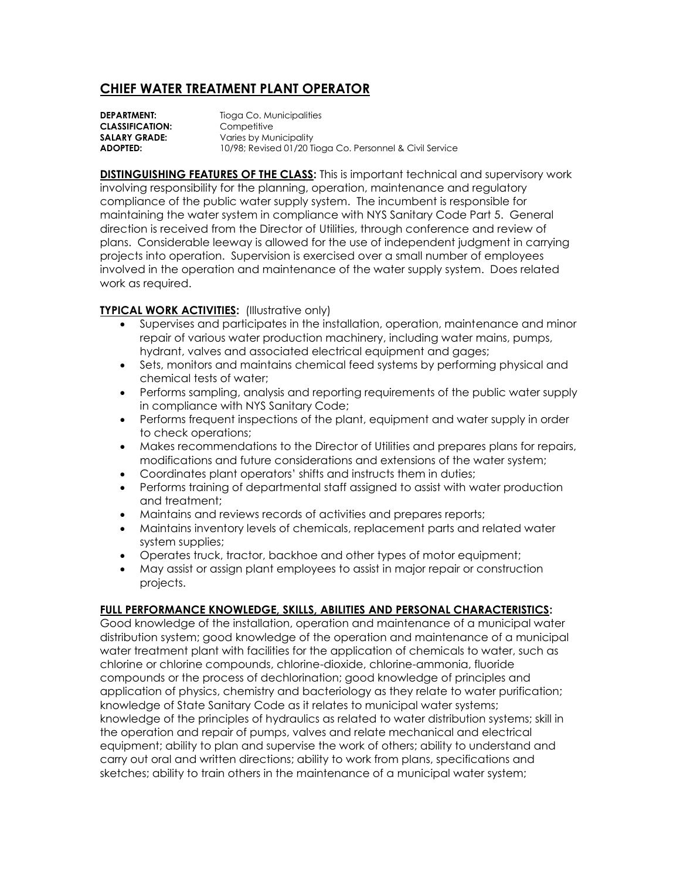## **CHIEF WATER TREATMENT PLANT OPERATOR**

**DEPARTMENT:** Tioga Co. Municipalities **CLASSIFICATION:** Competitive **SALARY GRADE:** Varies by Municipality **ADOPTED:** 10/98; Revised 01/20 Tioga Co. Personnel & Civil Service

**DISTINGUISHING FEATURES OF THE CLASS:** This is important technical and supervisory work involving responsibility for the planning, operation, maintenance and regulatory compliance of the public water supply system. The incumbent is responsible for maintaining the water system in compliance with NYS Sanitary Code Part 5. General direction is received from the Director of Utilities, through conference and review of plans. Considerable leeway is allowed for the use of independent judgment in carrying projects into operation. Supervision is exercised over a small number of employees involved in the operation and maintenance of the water supply system. Does related work as required.

## **TYPICAL WORK ACTIVITIES:** (Illustrative only)

- Supervises and participates in the installation, operation, maintenance and minor repair of various water production machinery, including water mains, pumps, hydrant, valves and associated electrical equipment and gages;
- Sets, monitors and maintains chemical feed systems by performing physical and chemical tests of water;
- Performs sampling, analysis and reporting requirements of the public water supply in compliance with NYS Sanitary Code;
- Performs frequent inspections of the plant, equipment and water supply in order to check operations;
- Makes recommendations to the Director of Utilities and prepares plans for repairs, modifications and future considerations and extensions of the water system;
- Coordinates plant operators' shifts and instructs them in duties;
- Performs training of departmental staff assigned to assist with water production and treatment;
- Maintains and reviews records of activities and prepares reports;
- Maintains inventory levels of chemicals, replacement parts and related water system supplies;
- Operates truck, tractor, backhoe and other types of motor equipment;
- May assist or assign plant employees to assist in major repair or construction projects.

## **FULL PERFORMANCE KNOWLEDGE, SKILLS, ABILITIES AND PERSONAL CHARACTERISTICS:**

Good knowledge of the installation, operation and maintenance of a municipal water distribution system; good knowledge of the operation and maintenance of a municipal water treatment plant with facilities for the application of chemicals to water, such as chlorine or chlorine compounds, chlorine-dioxide, chlorine-ammonia, fluoride compounds or the process of dechlorination; good knowledge of principles and application of physics, chemistry and bacteriology as they relate to water purification; knowledge of State Sanitary Code as it relates to municipal water systems; knowledge of the principles of hydraulics as related to water distribution systems; skill in the operation and repair of pumps, valves and relate mechanical and electrical equipment; ability to plan and supervise the work of others; ability to understand and carry out oral and written directions; ability to work from plans, specifications and sketches; ability to train others in the maintenance of a municipal water system;